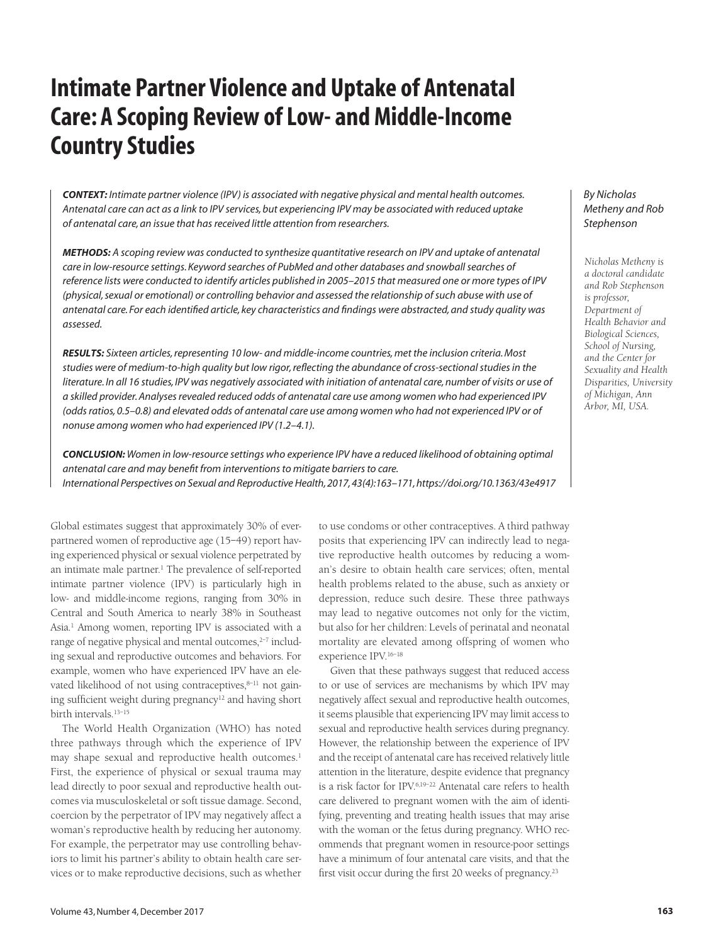# **Intimate Partner Violence and Uptake of Antenatal Care: A Scoping Review of Low- and Middle-Income Country Studies**

*CONTEXT: Intimate partner violence (IPV) is associated with negative physical and mental health outcomes. Antenatal care can act as a link to IPV services, but experiencing IPV may be associated with reduced uptake of antenatal care, an issue that has received little attention from researchers.*

*METHODS: A scoping review was conducted to synthesize quantitative research on IPV and uptake of antenatal care in low-resource settings. Keyword searches of PubMed and other databases and snowball searches of reference lists were conducted to identify articles published in 2005–2015 that measured one or more types of IPV (physical, sexual or emotional) or controlling behavior and assessed the relationship of such abuse with use of antenatal care. For each identified article, key characteristics and findings were abstracted, and study quality was assessed.*

*RESULTS: Sixteen articles, representing 10 low- and middle-income countries, met the inclusion criteria. Most studies were of medium-to-high quality but low rigor, reflecting the abundance of cross-sectional studies in the literature. In all 16 studies, IPV was negatively associated with initiation of antenatal care, number of visits or use of a skilled provider. Analyses revealed reduced odds of antenatal care use among women who had experienced IPV (odds ratios, 0.5–0.8) and elevated odds of antenatal care use among women who had not experienced IPV or of nonuse among women who had experienced IPV (1.2–4.1).*

*CONCLUSION: Women in low-resource settings who experience IPV have a reduced likelihood of obtaining optimal antenatal care and may benefit from interventions to mitigate barriers to care. International Perspectives on Sexual and Reproductive Health, 2017, 43(4):163–171, https://doi.org/10.1363/43e4917*

Global estimates suggest that approximately 30% of everpartnered women of reproductive age (15–49) report having experienced physical or sexual violence perpetrated by an intimate male partner.<sup>1</sup> The prevalence of self-reported intimate partner violence (IPV) is particularly high in low- and middle-income regions, ranging from 30% in Central and South America to nearly 38% in Southeast Asia.1 Among women, reporting IPV is associated with a range of negative physical and mental outcomes,<sup>2-7</sup> including sexual and reproductive outcomes and behaviors. For example, women who have experienced IPV have an elevated likelihood of not using contraceptives, $8-11$  not gaining sufficient weight during pregnancy<sup>12</sup> and having short birth intervals.13–15

The World Health Organization (WHO) has noted three pathways through which the experience of IPV may shape sexual and reproductive health outcomes.<sup>1</sup> First, the experience of physical or sexual trauma may lead directly to poor sexual and reproductive health outcomes via musculoskeletal or soft tissue damage. Second, coercion by the perpetrator of IPV may negatively affect a woman's reproductive health by reducing her autonomy. For example, the perpetrator may use controlling behaviors to limit his partner's ability to obtain health care services or to make reproductive decisions, such as whether

to use condoms or other contraceptives. A third pathway posits that experiencing IPV can indirectly lead to negative reproductive health outcomes by reducing a woman's desire to obtain health care services; often, mental health problems related to the abuse, such as anxiety or depression, reduce such desire. These three pathways may lead to negative outcomes not only for the victim, but also for her children: Levels of perinatal and neonatal mortality are elevated among offspring of women who experience IPV.16–18

Given that these pathways suggest that reduced access to or use of services are mechanisms by which IPV may negatively affect sexual and reproductive health outcomes, it seems plausible that experiencing IPV may limit access to sexual and reproductive health services during pregnancy. However, the relationship between the experience of IPV and the receipt of antenatal care has received relatively little attention in the literature, despite evidence that pregnancy is a risk factor for IPV.6,19–22 Antenatal care refers to health care delivered to pregnant women with the aim of identifying, preventing and treating health issues that may arise with the woman or the fetus during pregnancy. WHO recommends that pregnant women in resource-poor settings have a minimum of four antenatal care visits, and that the first visit occur during the first 20 weeks of pregnancy.23

## *By Nicholas Metheny and Rob Stephenson*

*Nicholas Metheny is a doctoral candidate and Rob Stephenson is professor, Department of Health Behavior and Biological Sciences, School of Nursing, and the Center for Sexuality and Health Disparities, University of Michigan, Ann Arbor, MI, USA.*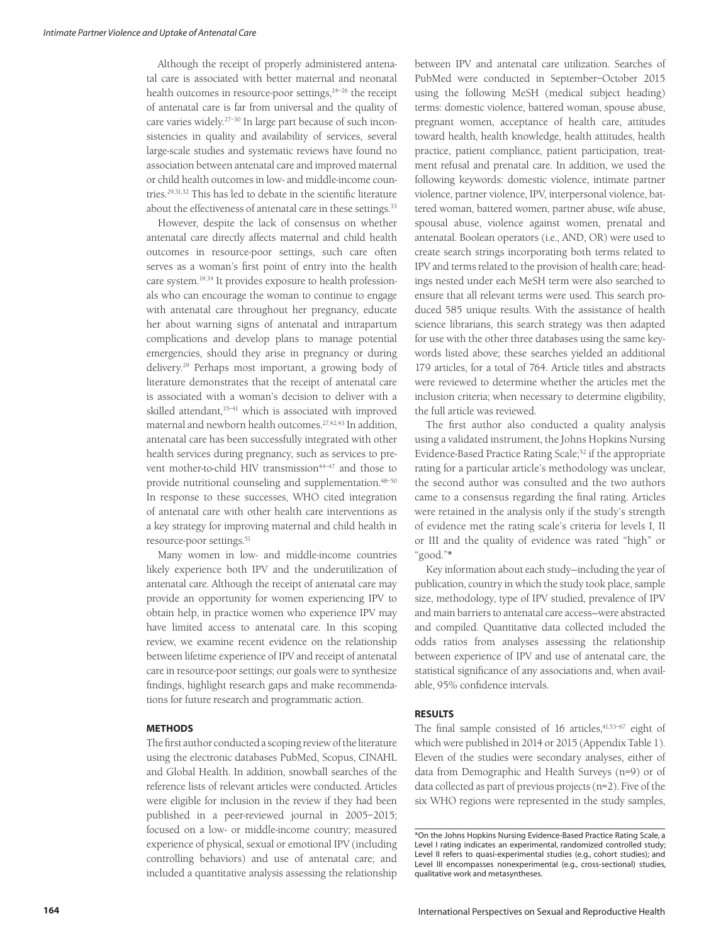Although the receipt of properly administered antenatal care is associated with better maternal and neonatal health outcomes in resource-poor settings,<sup>24-26</sup> the receipt of antenatal care is far from universal and the quality of care varies widely.27–30 In large part because of such inconsistencies in quality and availability of services, several large-scale studies and systematic reviews have found no association between antenatal care and improved maternal or child health outcomes in low- and middle-income countries.29,31,32 This has led to debate in the scientific literature about the effectiveness of antenatal care in these settings.<sup>33</sup>

However, despite the lack of consensus on whether antenatal care directly affects maternal and child health outcomes in resource-poor settings, such care often serves as a woman's first point of entry into the health care system.19,34 It provides exposure to health professionals who can encourage the woman to continue to engage with antenatal care throughout her pregnancy, educate her about warning signs of antenatal and intrapartum complications and develop plans to manage potential emergencies, should they arise in pregnancy or during delivery.29 Perhaps most important, a growing body of literature demonstrates that the receipt of antenatal care is associated with a woman's decision to deliver with a skilled attendant,<sup>35-41</sup> which is associated with improved maternal and newborn health outcomes.27,42,43 In addition, antenatal care has been successfully integrated with other health services during pregnancy, such as services to prevent mother-to-child HIV transmission<sup>44-47</sup> and those to provide nutritional counseling and supplementation.<sup>48-50</sup> In response to these successes, WHO cited integration of antenatal care with other health care interventions as a key strategy for improving maternal and child health in resource-poor settings.<sup>51</sup>

Many women in low- and middle-income countries likely experience both IPV and the underutilization of antenatal care. Although the receipt of antenatal care may provide an opportunity for women experiencing IPV to obtain help, in practice women who experience IPV may have limited access to antenatal care. In this scoping review, we examine recent evidence on the relationship between lifetime experience of IPV and receipt of antenatal care in resource-poor settings; our goals were to synthesize findings, highlight research gaps and make recommendations for future research and programmatic action.

#### **METHODS**

The first author conducted a scoping review of the literature using the electronic databases PubMed, Scopus, CINAHL and Global Health. In addition, snowball searches of the reference lists of relevant articles were conducted. Articles were eligible for inclusion in the review if they had been published in a peer-reviewed journal in 2005–2015; focused on a low- or middle-income country; measured experience of physical, sexual or emotional IPV (including controlling behaviors) and use of antenatal care; and included a quantitative analysis assessing the relationship between IPV and antenatal care utilization. Searches of PubMed were conducted in September–October 2015 using the following MeSH (medical subject heading) terms: domestic violence, battered woman, spouse abuse, pregnant women, acceptance of health care, attitudes toward health, health knowledge, health attitudes, health practice, patient compliance, patient participation, treatment refusal and prenatal care. In addition, we used the following keywords: domestic violence, intimate partner violence, partner violence, IPV, interpersonal violence, battered woman, battered women, partner abuse, wife abuse, spousal abuse, violence against women, prenatal and antenatal. Boolean operators (i.e., AND, OR) were used to create search strings incorporating both terms related to IPV and terms related to the provision of health care; headings nested under each MeSH term were also searched to ensure that all relevant terms were used. This search produced 585 unique results. With the assistance of health science librarians, this search strategy was then adapted for use with the other three databases using the same keywords listed above; these searches yielded an additional 179 articles, for a total of 764. Article titles and abstracts were reviewed to determine whether the articles met the inclusion criteria; when necessary to determine eligibility, the full article was reviewed.

The first author also conducted a quality analysis using a validated instrument, the Johns Hopkins Nursing Evidence-Based Practice Rating Scale;<sup>52</sup> if the appropriate rating for a particular article's methodology was unclear, the second author was consulted and the two authors came to a consensus regarding the final rating. Articles were retained in the analysis only if the study's strength of evidence met the rating scale's criteria for levels I, II or III and the quality of evidence was rated "high" or "good."\*

Key information about each study—including the year of publication, country in which the study took place, sample size, methodology, type of IPV studied, prevalence of IPV and main barriers to antenatal care access—were abstracted and compiled. Quantitative data collected included the odds ratios from analyses assessing the relationship between experience of IPV and use of antenatal care, the statistical significance of any associations and, when available, 95% confidence intervals.

## **RESULTS**

The final sample consisted of 16 articles, $41,53-67$  eight of which were published in 2014 or 2015 (Appendix Table 1). Eleven of the studies were secondary analyses, either of data from Demographic and Health Surveys (n=9) or of data collected as part of previous projects (n=2). Five of the six WHO regions were represented in the study samples,

<sup>\*</sup>On the Johns Hopkins Nursing Evidence-Based Practice Rating Scale, a Level I rating indicates an experimental, randomized controlled study; Level II refers to quasi-experimental studies (e.g., cohort studies); and Level III encompasses nonexperimental (e.g., cross-sectional) studies, qualitative work and metasyntheses.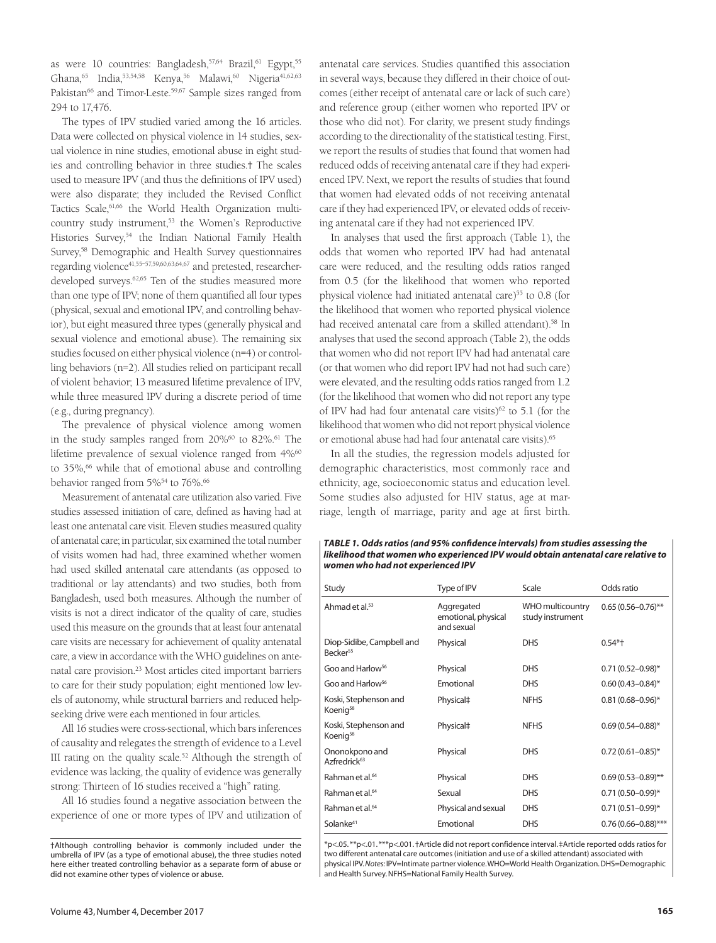as were 10 countries: Bangladesh, 57,64 Brazil, 61 Egypt, 55 Ghana,<sup>65</sup> India,<sup>53,54,58</sup> Kenya,<sup>56</sup> Malawi,<sup>60</sup> Nigeria<sup>41,62,63</sup> Pakistan<sup>66</sup> and Timor-Leste.<sup>59,67</sup> Sample sizes ranged from 294 to 17,476.

The types of IPV studied varied among the 16 articles. Data were collected on physical violence in 14 studies, sexual violence in nine studies, emotional abuse in eight studies and controlling behavior in three studies.† The scales used to measure IPV (and thus the definitions of IPV used) were also disparate; they included the Revised Conflict Tactics Scale,<sup>61,66</sup> the World Health Organization multicountry study instrument,53 the Women's Reproductive Histories Survey,<sup>54</sup> the Indian National Family Health Survey,58 Demographic and Health Survey questionnaires regarding violence41,55–57,59,60,63,64,67 and pretested, researcherdeveloped surveys.<sup>62,65</sup> Ten of the studies measured more than one type of IPV; none of them quantified all four types (physical, sexual and emotional IPV, and controlling behavior), but eight measured three types (generally physical and sexual violence and emotional abuse). The remaining six studies focused on either physical violence (n=4) or controlling behaviors (n=2). All studies relied on participant recall of violent behavior; 13 measured lifetime prevalence of IPV, while three measured IPV during a discrete period of time (e.g., during pregnancy).

The prevalence of physical violence among women in the study samples ranged from 20%<sup>60</sup> to 82%.<sup>61</sup> The lifetime prevalence of sexual violence ranged from 4%<sup>60</sup> to 35%,<sup>66</sup> while that of emotional abuse and controlling behavior ranged from 5%<sup>54</sup> to 76%.<sup>66</sup>

Measurement of antenatal care utilization also varied. Five studies assessed initiation of care, defined as having had at least one antenatal care visit. Eleven studies measured quality of antenatal care; in particular, six examined the total number of visits women had had, three examined whether women had used skilled antenatal care attendants (as opposed to traditional or lay attendants) and two studies, both from Bangladesh, used both measures. Although the number of visits is not a direct indicator of the quality of care, studies used this measure on the grounds that at least four antenatal care visits are necessary for achievement of quality antenatal care, a view in accordance with the WHO guidelines on antenatal care provision.23 Most articles cited important barriers to care for their study population; eight mentioned low levels of autonomy, while structural barriers and reduced helpseeking drive were each mentioned in four articles.

All 16 studies were cross-sectional, which bars inferences of causality and relegates the strength of evidence to a Level III rating on the quality scale.52 Although the strength of evidence was lacking, the quality of evidence was generally strong: Thirteen of 16 studies received a "high" rating.

All 16 studies found a negative association between the experience of one or more types of IPV and utilization of antenatal care services. Studies quantified this association in several ways, because they differed in their choice of outcomes (either receipt of antenatal care or lack of such care) and reference group (either women who reported IPV or those who did not). For clarity, we present study findings according to the directionality of the statistical testing. First, we report the results of studies that found that women had reduced odds of receiving antenatal care if they had experienced IPV. Next, we report the results of studies that found that women had elevated odds of not receiving antenatal care if they had experienced IPV, or elevated odds of receiving antenatal care if they had not experienced IPV.

In analyses that used the first approach (Table 1), the odds that women who reported IPV had had antenatal care were reduced, and the resulting odds ratios ranged from 0.5 (for the likelihood that women who reported physical violence had initiated antenatal care)<sup>55</sup> to 0.8 (for the likelihood that women who reported physical violence had received antenatal care from a skilled attendant).<sup>58</sup> In analyses that used the second approach (Table 2), the odds that women who did not report IPV had had antenatal care (or that women who did report IPV had not had such care) were elevated, and the resulting odds ratios ranged from 1.2 (for the likelihood that women who did not report any type of IPV had had four antenatal care visits) $62$  to 5.1 (for the likelihood that women who did not report physical violence or emotional abuse had had four antenatal care visits).65

In all the studies, the regression models adjusted for demographic characteristics, most commonly race and ethnicity, age, socioeconomic status and education level. Some studies also adjusted for HIV status, age at marriage, length of marriage, parity and age at first birth.

#### *TABLE 1. Odds ratios (and 95% confidence intervals) from studies assessing the likelihood that women who experienced IPV would obtain antenatal care relative to women who had not experienced IPV*

| Study                                             | Type of IPV                                     | Scale                                | Odds ratio              |
|---------------------------------------------------|-------------------------------------------------|--------------------------------------|-------------------------|
| Ahmad et al. <sup>53</sup>                        | Aggregated<br>emotional, physical<br>and sexual | WHO multicountry<br>study instrument | $0.65(0.56 - 0.76)$ **  |
| Diop-Sidibe, Campbell and<br>Becker <sup>55</sup> | Physical                                        | <b>DHS</b>                           | $0.54*+$                |
| Goo and Harlow <sup>56</sup>                      | Physical                                        | <b>DHS</b>                           | $0.71(0.52 - 0.98)$ *   |
| Goo and Harlow <sup>56</sup>                      | Emotional                                       | <b>DHS</b>                           | $0.60(0.43 - 0.84)$ *   |
| Koski, Stephenson and<br>Koenig58                 | Physical‡                                       | <b>NFHS</b>                          | $0.81(0.68 - 0.96)^*$   |
| Koski, Stephenson and<br>Koenig58                 | Physical‡                                       | <b>NFHS</b>                          | $0.69(0.54 - 0.88)$ *   |
| Ononokpono and<br>Azfredrick <sup>63</sup>        | Physical                                        | <b>DHS</b>                           | $0.72(0.61 - 0.85)^*$   |
| Rahman et al. <sup>64</sup>                       | Physical                                        | <b>DHS</b>                           | $0.69(0.53 - 0.89)$ **  |
| Rahman et al. <sup>64</sup>                       | Sexual                                          | <b>DHS</b>                           | $0.71(0.50 - 0.99)^*$   |
| Rahman et al. <sup>64</sup>                       | Physical and sexual                             | <b>DHS</b>                           | $0.71(0.51 - 0.99)^*$   |
| Solanke <sup>41</sup>                             | Emotional                                       | <b>DHS</b>                           | $0.76(0.66 - 0.88)$ *** |
|                                                   |                                                 |                                      |                         |

\*p<.05. \*\*p<.01. \*\*\*p<.001. †Article did not report confidence interval. ‡Article reported odds ratios for two different antenatal care outcomes (initiation and use of a skilled attendant) associated with physical IPV. *Notes:* IPV=Intimate partner violence. WHO=World Health Organization. DHS=Demographic and Health Survey. NFHS=National Family Health Survey.

<sup>†</sup>Although controlling behavior is commonly included under the umbrella of IPV (as a type of emotional abuse), the three studies noted here either treated controlling behavior as a separate form of abuse or did not examine other types of violence or abuse.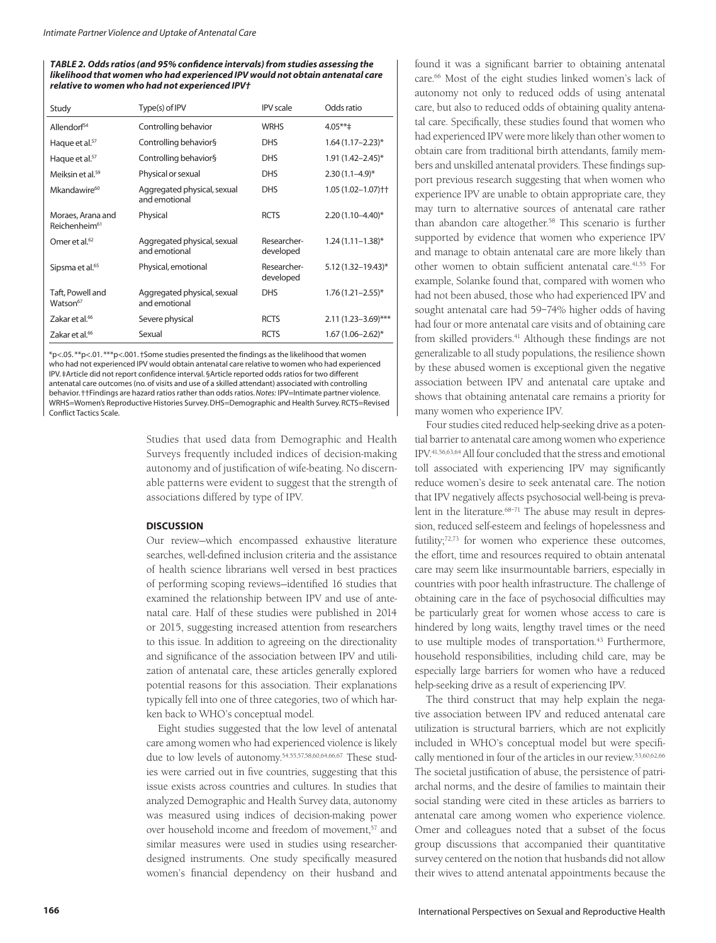*TABLE 2. Odds ratios (and 95% confidence intervals) from studies assessing the likelihood that women who had experienced IPV would not obtain antenatal care relative to women who had not experienced IPV†*

| Study                                          | Type(s) of IPV                               | <b>IPV</b> scale         | Odds ratio               |  |
|------------------------------------------------|----------------------------------------------|--------------------------|--------------------------|--|
| Allendorf <sup>54</sup>                        | Controlling behavior                         | <b>WRHS</b>              | $4.05***$                |  |
| Haque et al. <sup>57</sup>                     | Controlling behavior§                        | <b>DHS</b>               | $1.64(1.17 - 2.23)^{*}$  |  |
| Haque et al. <sup>57</sup>                     | Controlling behavior§                        | <b>DHS</b>               | 1.91 (1.42-2.45)*        |  |
| Meiksin et al. <sup>59</sup>                   | Physical or sexual                           | <b>DHS</b>               | $2.30(1.1-4.9)$ *        |  |
| Mkandawire <sup>60</sup>                       | Aggregated physical, sexual<br>and emotional | <b>DHS</b>               | $1.05(1.02 - 1.07)$ † †  |  |
| Moraes, Arana and<br>Reichenheim <sup>61</sup> | Physical                                     | <b>RCTS</b>              | $2.20(1.10 - 4.40)^{*}$  |  |
| Omer et al. <sup>62</sup>                      | Aggregated physical, sexual<br>and emotional | Researcher-<br>developed | $1.24(1.11 - 1.38)$ *    |  |
| Sipsma et al. <sup>65</sup>                    | Physical, emotional                          | Researcher-<br>developed | $5.12(1.32 - 19.43)^{*}$ |  |
| Taft, Powell and<br>Watson <sup>67</sup>       | Aggregated physical, sexual<br>and emotional | <b>DHS</b>               | $1.76(1.21 - 2.55)^*$    |  |
| Zakar et al. <sup>66</sup>                     | Severe physical                              | <b>RCTS</b>              | $2.11(1.23 - 3.69)$ ***  |  |
| Zakar et al. <sup>66</sup>                     | Sexual                                       | <b>RCTS</b>              | $1.67(1.06 - 2.62)^{*}$  |  |

\*p<.05. \*\*p<.01. \*\*\*p<.001. †Some studies presented the findings as the likelihood that women who had not experienced IPV would obtain antenatal care relative to women who had experienced IPV. ‡Article did not report confidence interval. §Article reported odds ratios for two different antenatal care outcomes (no. of visits and use of a skilled attendant) associated with controlling behavior. ††Findings are hazard ratios rather than odds ratios. *Notes:* IPV=Intimate partner violence. WRHS=Women's Reproductive Histories Survey. DHS=Demographic and Health Survey. RCTS=Revised Conflict Tactics Scale.

> Studies that used data from Demographic and Health Surveys frequently included indices of decision-making autonomy and of justification of wife-beating. No discernable patterns were evident to suggest that the strength of associations differed by type of IPV.

#### **DISCUSSION**

Our review—which encompassed exhaustive literature searches, well-defined inclusion criteria and the assistance of health science librarians well versed in best practices of performing scoping reviews—identified 16 studies that examined the relationship between IPV and use of antenatal care. Half of these studies were published in 2014 or 2015, suggesting increased attention from researchers to this issue. In addition to agreeing on the directionality and significance of the association between IPV and utilization of antenatal care, these articles generally explored potential reasons for this association. Their explanations typically fell into one of three categories, two of which harken back to WHO's conceptual model.

Eight studies suggested that the low level of antenatal care among women who had experienced violence is likely due to low levels of autonomy.54,55,57,58,60,64,66,67 These studies were carried out in five countries, suggesting that this issue exists across countries and cultures. In studies that analyzed Demographic and Health Survey data, autonomy was measured using indices of decision-making power over household income and freedom of movement,<sup>57</sup> and similar measures were used in studies using researcherdesigned instruments. One study specifically measured women's financial dependency on their husband and

found it was a significant barrier to obtaining antenatal care.<sup>66</sup> Most of the eight studies linked women's lack of autonomy not only to reduced odds of using antenatal care, but also to reduced odds of obtaining quality antenatal care. Specifically, these studies found that women who had experienced IPV were more likely than other women to obtain care from traditional birth attendants, family members and unskilled antenatal providers. These findings support previous research suggesting that when women who experience IPV are unable to obtain appropriate care, they may turn to alternative sources of antenatal care rather than abandon care altogether.<sup>58</sup> This scenario is further supported by evidence that women who experience IPV and manage to obtain antenatal care are more likely than other women to obtain sufficient antenatal care.<sup>41,55</sup> For example, Solanke found that, compared with women who had not been abused, those who had experienced IPV and sought antenatal care had 59–74% higher odds of having had four or more antenatal care visits and of obtaining care from skilled providers.<sup>41</sup> Although these findings are not generalizable to all study populations, the resilience shown by these abused women is exceptional given the negative association between IPV and antenatal care uptake and shows that obtaining antenatal care remains a priority for many women who experience IPV.

Four studies cited reduced help-seeking drive as a potential barrier to antenatal care among women who experience IPV.41,56,63,64 All four concluded that the stress and emotional toll associated with experiencing IPV may significantly reduce women's desire to seek antenatal care. The notion that IPV negatively affects psychosocial well-being is prevalent in the literature.<sup>68-71</sup> The abuse may result in depression, reduced self-esteem and feelings of hopelessness and futility;<sup>72,73</sup> for women who experience these outcomes, the effort, time and resources required to obtain antenatal care may seem like insurmountable barriers, especially in countries with poor health infrastructure. The challenge of obtaining care in the face of psychosocial difficulties may be particularly great for women whose access to care is hindered by long waits, lengthy travel times or the need to use multiple modes of transportation.<sup>43</sup> Furthermore, household responsibilities, including child care, may be especially large barriers for women who have a reduced help-seeking drive as a result of experiencing IPV.

The third construct that may help explain the negative association between IPV and reduced antenatal care utilization is structural barriers, which are not explicitly included in WHO's conceptual model but were specifically mentioned in four of the articles in our review.53,60,62,66 The societal justification of abuse, the persistence of patriarchal norms, and the desire of families to maintain their social standing were cited in these articles as barriers to antenatal care among women who experience violence. Omer and colleagues noted that a subset of the focus group discussions that accompanied their quantitative survey centered on the notion that husbands did not allow their wives to attend antenatal appointments because the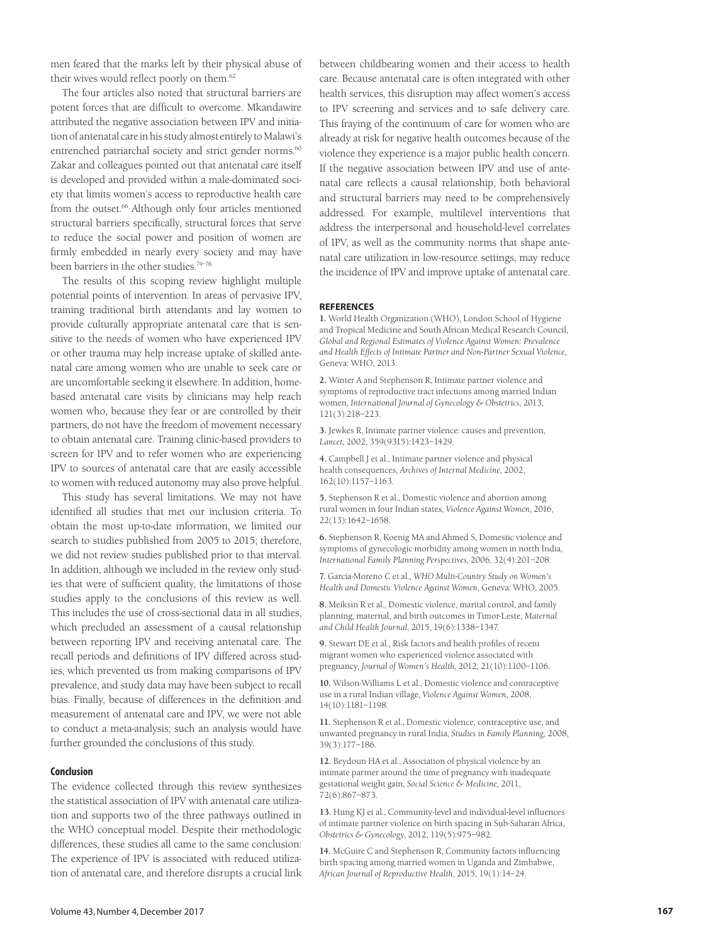men feared that the marks left by their physical abuse of their wives would reflect poorly on them.62

The four articles also noted that structural barriers are potent forces that are difficult to overcome. Mkandawire attributed the negative association between IPV and initiation of antenatal care in his study almost entirely to Malawi's entrenched patriarchal society and strict gender norms.<sup>60</sup> Zakar and colleagues pointed out that antenatal care itself is developed and provided within a male-dominated society that limits women's access to reproductive health care from the outset.<sup>66</sup> Although only four articles mentioned structural barriers specifically, structural forces that serve to reduce the social power and position of women are firmly embedded in nearly every society and may have been barriers in the other studies.<sup>74–76</sup>

The results of this scoping review highlight multiple potential points of intervention. In areas of pervasive IPV, training traditional birth attendants and lay women to provide culturally appropriate antenatal care that is sensitive to the needs of women who have experienced IPV or other trauma may help increase uptake of skilled antenatal care among women who are unable to seek care or are uncomfortable seeking it elsewhere. In addition, homebased antenatal care visits by clinicians may help reach women who, because they fear or are controlled by their partners, do not have the freedom of movement necessary to obtain antenatal care. Training clinic-based providers to screen for IPV and to refer women who are experiencing IPV to sources of antenatal care that are easily accessible to women with reduced autonomy may also prove helpful.

This study has several limitations. We may not have identified all studies that met our inclusion criteria. To obtain the most up-to-date information, we limited our search to studies published from 2005 to 2015; therefore, we did not review studies published prior to that interval. In addition, although we included in the review only studies that were of sufficient quality, the limitations of those studies apply to the conclusions of this review as well. This includes the use of cross-sectional data in all studies, which precluded an assessment of a causal relationship between reporting IPV and receiving antenatal care. The recall periods and definitions of IPV differed across studies, which prevented us from making comparisons of IPV prevalence, and study data may have been subject to recall bias. Finally, because of differences in the definition and measurement of antenatal care and IPV, we were not able to conduct a meta-analysis; such an analysis would have further grounded the conclusions of this study.

#### **Conclusion**

The evidence collected through this review synthesizes the statistical association of IPV with antenatal care utilization and supports two of the three pathways outlined in the WHO conceptual model. Despite their methodologic differences, these studies all came to the same conclusion: The experience of IPV is associated with reduced utilization of antenatal care, and therefore disrupts a crucial link

between childbearing women and their access to health care. Because antenatal care is often integrated with other health services, this disruption may affect women's access to IPV screening and services and to safe delivery care. This fraying of the continuum of care for women who are already at risk for negative health outcomes because of the violence they experience is a major public health concern. If the negative association between IPV and use of antenatal care reflects a causal relationship, both behavioral and structural barriers may need to be comprehensively addressed. For example, multilevel interventions that address the interpersonal and household-level correlates of IPV, as well as the community norms that shape antenatal care utilization in low-resource settings, may reduce the incidence of IPV and improve uptake of antenatal care.

#### **REFERENCES**

**1.** World Health Organization (WHO), London School of Hygiene and Tropical Medicine and South African Medical Research Council, *Global and Regional Estimates of Violence Against Women: Prevalence and Health Effects of Intimate Partner and Non-Partner Sexual Violence*, Geneva: WHO, 2013.

**2.** Winter A and Stephenson R, Intimate partner violence and symptoms of reproductive tract infections among married Indian women, *International Journal of Gynecology & Obstetrics*, 2013, 121(3):218–223.

**3.** Jewkes R, Intimate partner violence: causes and prevention, *Lancet*, 2002, 359(9315):1423–1429.

**4.** Campbell J et al., Intimate partner violence and physical health consequences, *Archives of Internal Medicine*, 2002, 162(10):1157–1163.

**5.** Stephenson R et al., Domestic violence and abortion among rural women in four Indian states, *Violence Against Women*, 2016, 22(13):1642–1658.

**6.** Stephenson R, Koenig MA and Ahmed S, Domestic violence and symptoms of gynecologic morbidity among women in north India, *International Family Planning Perspectives*, 2006, 32(4):201–208.

**7.** Garcia-Moreno C et al., *WHO Multi-Country Study on Women's Health and Domestic Violence Against Women*, Geneva: WHO, 2005.

**8.** Meiksin R et al., Domestic violence, marital control, and family planning, maternal, and birth outcomes in Timor-Leste, *Maternal and Child Health Journal*, 2015, 19(6):1338–1347.

**9.** Stewart DE et al., Risk factors and health profiles of recent migrant women who experienced violence associated with pregnancy, *Journal of Women's Health*, 2012, 21(10):1100–1106.

**10.** Wilson-Williams L et al., Domestic violence and contraceptive use in a rural Indian village, *Violence Against Women*, 2008, 14(10):1181–1198.

**11.** Stephenson R et al., Domestic violence, contraceptive use, and unwanted pregnancy in rural India, *Studies in Family Planning*, 2008, 39(3):177–186.

**12.** Beydoun HA et al., Association of physical violence by an intimate partner around the time of pregnancy with inadequate gestational weight gain, *Social Science & Medicine*, 2011, 72(6):867–873.

**13.** Hung KJ et al., Community-level and individual-level influences of intimate partner violence on birth spacing in Sub-Saharan Africa, *Obstetrics & Gynecology*, 2012, 119(5):975–982.

**14.** McGuire C and Stephenson R, Community factors influencing birth spacing among married women in Uganda and Zimbabwe, *African Journal of Reproductive Health*, 2015, 19(1):14–24.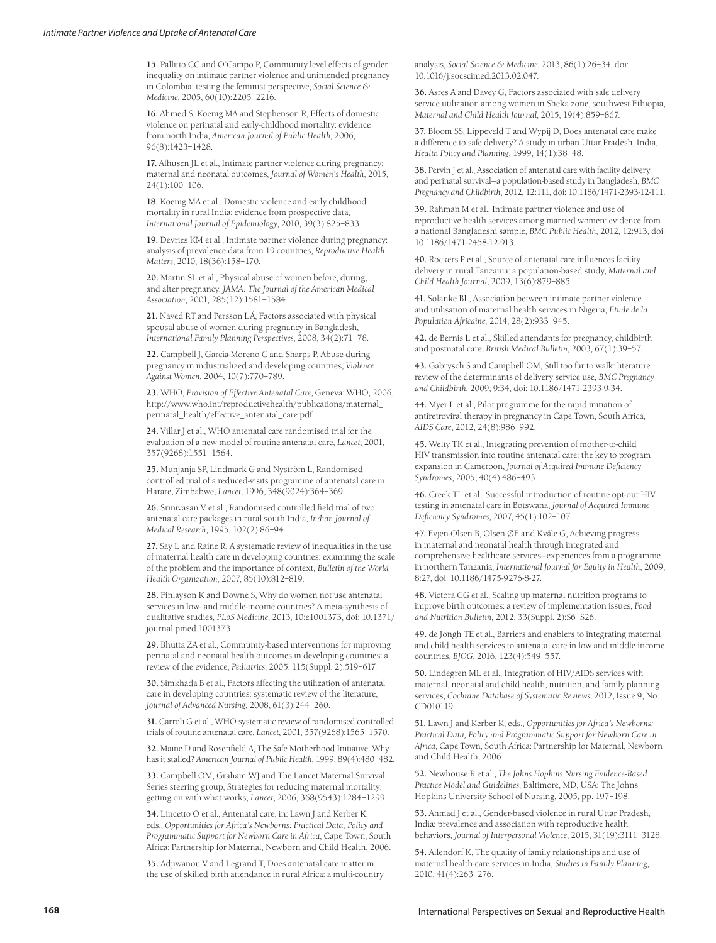**15.** Pallitto CC and O'Campo P, Community level effects of gender inequality on intimate partner violence and unintended pregnancy in Colombia: testing the feminist perspective, *Social Science & Medicine*, 2005, 60(10):2205–2216.

**16.** Ahmed S, Koenig MA and Stephenson R, Effects of domestic violence on perinatal and early-childhood mortality: evidence from north India, *American Journal of Public Health*, 2006, 96(8):1423–1428.

**17.** Alhusen JL et al., Intimate partner violence during pregnancy: maternal and neonatal outcomes, *Journal of Women's Health*, 2015, 24(1):100–106.

**18.** Koenig MA et al., Domestic violence and early childhood mortality in rural India: evidence from prospective data, *International Journal of Epidemiology*, 2010, 39(3):825–833.

**19.** Devries KM et al., Intimate partner violence during pregnancy: analysis of prevalence data from 19 countries, *Reproductive Health Matters*, 2010, 18(36):158–170.

**20.** Martin SL et al., Physical abuse of women before, during, and after pregnancy, *JAMA: The Journal of the American Medical Association*, 2001, 285(12):1581–1584.

**21.** Naved RT and Persson LÅ, Factors associated with physical spousal abuse of women during pregnancy in Bangladesh, *International Family Planning Perspectives*, 2008, 34(2):71–78.

**22.** Campbell J, Garcia-Moreno C and Sharps P, Abuse during pregnancy in industrialized and developing countries, *Violence Against Women*, 2004, 10(7):770–789.

**23.** WHO, *Provision of Effective Antenatal Care*, Geneva: WHO, 2006, http://www.who.int/reproductivehealth/publications/maternal\_ perinatal\_health/effective\_antenatal\_care.pdf.

**24.** Villar J et al., WHO antenatal care randomised trial for the evaluation of a new model of routine antenatal care, *Lancet*, 2001, 357(9268):1551–1564.

**25.** Munjanja SP, Lindmark G and Nyström L, Randomised controlled trial of a reduced-visits programme of antenatal care in Harare, Zimbabwe, *Lancet*, 1996, 348(9024):364–369.

**26.** Srinivasan V et al., Randomised controlled field trial of two antenatal care packages in rural south India, *Indian Journal of Medical Research*, 1995, 102(2):86–94.

**27.** Say L and Raine R, A systematic review of inequalities in the use of maternal health care in developing countries: examining the scale of the problem and the importance of context, *Bulletin of the World Health Organization*, 2007, 85(10):812–819.

**28.** Finlayson K and Downe S, Why do women not use antenatal services in low- and middle-income countries? A meta-synthesis of qualitative studies, *PLoS Medicine*, 2013, 10:e1001373, doi: 10.1371/ journal.pmed.1001373.

**29.** Bhutta ZA et al., Community-based interventions for improving perinatal and neonatal health outcomes in developing countries: a review of the evidence, *Pediatrics*, 2005, 115(Suppl. 2):519–617.

**30.** Simkhada B et al., Factors affecting the utilization of antenatal care in developing countries: systematic review of the literature, *Journal of Advanced Nursing*, 2008, 61(3):244–260.

**31.** Carroli G et al., WHO systematic review of randomised controlled trials of routine antenatal care, *Lancet*, 2001, 357(9268):1565–1570.

**32.** Maine D and Rosenfield A, The Safe Motherhood Initiative: Why has it stalled? *American Journal of Public Health*, 1999, 89(4):480–482.

**33.** Campbell OM, Graham WJ and The Lancet Maternal Survival Series steering group, Strategies for reducing maternal mortality: getting on with what works, *Lancet*, 2006, 368(9543):1284–1299.

**34.** Lincetto O et al., Antenatal care, in: Lawn J and Kerber K, eds., *Opportunities for Africa's Newborns: Practical Data, Policy and Programmatic Support for Newborn Care in Africa*, Cape Town, South Africa: Partnership for Maternal, Newborn and Child Health, 2006.

**35.** Adjiwanou V and Legrand T, Does antenatal care matter in the use of skilled birth attendance in rural Africa: a multi-country analysis, *Social Science & Medicine*, 2013, 86(1):26–34, doi: 10.1016/j.socscimed.2013.02.047.

**36.** Asres A and Davey G, Factors associated with safe delivery service utilization among women in Sheka zone, southwest Ethiopia, *Maternal and Child Health Journal*, 2015, 19(4):859–867.

**37.** Bloom SS, Lippeveld T and Wypij D, Does antenatal care make a difference to safe delivery? A study in urban Uttar Pradesh, India, *Health Policy and Planning*, 1999, 14(1):38–48.

**38.** Pervin J et al., Association of antenatal care with facility delivery and perinatal survival—a population-based study in Bangladesh, *BMC Pregnancy and Childbirth*, 2012, 12:111, doi: 10.1186/1471-2393-12-111.

**39.** Rahman M et al., Intimate partner violence and use of reproductive health services among married women: evidence from a national Bangladeshi sample, *BMC Public Health*, 2012, 12:913, doi: 10.1186/1471-2458-12-913.

**40.** Rockers P et al., Source of antenatal care influences facility delivery in rural Tanzania: a population-based study, *Maternal and Child Health Journal*, 2009, 13(6):879–885.

**41.** Solanke BL, Association between intimate partner violence and utilisation of maternal health services in Nigeria, *Etude de la Population Africaine*, 2014, 28(2):933–945.

**42.** de Bernis L et al., Skilled attendants for pregnancy, childbirth and postnatal care, *British Medical Bulletin*, 2003, 67(1):39–57.

**43.** Gabrysch S and Campbell OM, Still too far to walk: literature review of the determinants of delivery service use, *BMC Pregnancy and Childbirth*, 2009, 9:34, doi: 10.1186/1471-2393-9-34.

**44.** Myer L et al., Pilot programme for the rapid initiation of antiretroviral therapy in pregnancy in Cape Town, South Africa, *AIDS Care*, 2012, 24(8):986–992.

**45.** Welty TK et al., Integrating prevention of mother-to-child HIV transmission into routine antenatal care: the key to program expansion in Cameroon, *Journal of Acquired Immune Deficiency Syndromes*, 2005, 40(4):486–493.

**46.** Creek TL et al., Successful introduction of routine opt-out HIV testing in antenatal care in Botswana, *Journal of Acquired Immune Deficiency Syndromes*, 2007, 45(1):102–107.

**47.** Evjen-Olsen B, Olsen ØE and Kvåle G, Achieving progress in maternal and neonatal health through integrated and comprehensive healthcare services—experiences from a programme in northern Tanzania, *International Journal for Equity in Health*, 2009, 8:27, doi: 10.1186/1475-9276-8-27.

**48.** Victora CG et al., Scaling up maternal nutrition programs to improve birth outcomes: a review of implementation issues, *Food and Nutrition Bulletin*, 2012, 33(Suppl. 2):S6–S26.

**49.** de Jongh TE et al., Barriers and enablers to integrating maternal and child health services to antenatal care in low and middle income countries, *BJOG*, 2016, 123(4):549–557.

**50.** Lindegren ML et al., Integration of HIV/AIDS services with maternal, neonatal and child health, nutrition, and family planning services, *Cochrane Database of Systematic Reviews*, 2012, Issue 9, No. CD010119.

**51.** Lawn J and Kerber K, eds., *Opportunities for Africa's Newborns: Practical Data, Policy and Programmatic Support for Newborn Care in Africa*, Cape Town, South Africa: Partnership for Maternal, Newborn and Child Health, 2006.

**52.** Newhouse R et al., *The Johns Hopkins Nursing Evidence-Based Practice Model and Guidelines*, Baltimore, MD, USA: The Johns Hopkins University School of Nursing, 2005, pp. 197–198.

**53.** Ahmad J et al., Gender-based violence in rural Uttar Pradesh, India: prevalence and association with reproductive health behaviors, *Journal of Interpersonal Violence*, 2015, 31(19):3111–3128.

**54.** Allendorf K, The quality of family relationships and use of maternal health-care services in India, *Studies in Family Planning*, 2010, 41(4):263–276.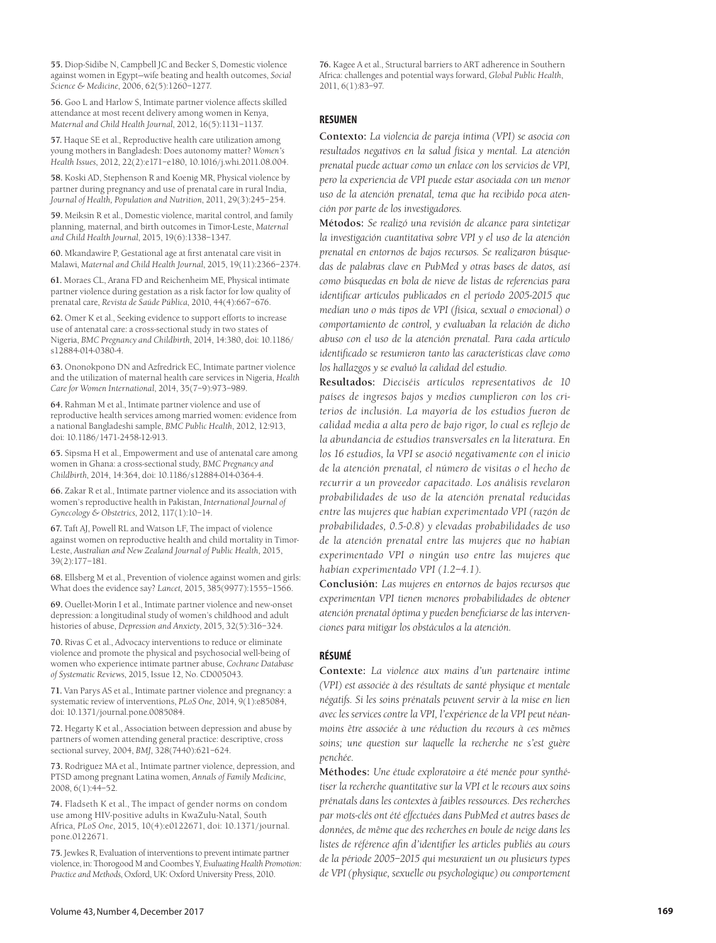**55.** Diop-Sidibe N, Campbell JC and Becker S, Domestic violence against women in Egypt—wife beating and health outcomes, *Social Science & Medicine*, 2006, 62(5):1260–1277.

**56.** Goo L and Harlow S, Intimate partner violence affects skilled attendance at most recent delivery among women in Kenya, *Maternal and Child Health Journal*, 2012, 16(5):1131–1137.

**57.** Haque SE et al., Reproductive health care utilization among young mothers in Bangladesh: Does autonomy matter? *Women's Health Issues*, 2012, 22(2):e171–e180, 10.1016/j.whi.2011.08.004.

**58.** Koski AD, Stephenson R and Koenig MR, Physical violence by partner during pregnancy and use of prenatal care in rural India, *Journal of Health, Population and Nutrition*, 2011, 29(3):245–254.

**59.** Meiksin R et al., Domestic violence, marital control, and family planning, maternal, and birth outcomes in Timor-Leste, *Maternal and Child Health Journal*, 2015, 19(6):1338–1347.

**60.** Mkandawire P, Gestational age at first antenatal care visit in Malawi, *Maternal and Child Health Journal*, 2015, 19(11):2366–2374.

**61.** Moraes CL, Arana FD and Reichenheim ME, Physical intimate partner violence during gestation as a risk factor for low quality of prenatal care, *Revista de Saúde Pública*, 2010, 44(4):667–676.

**62.** Omer K et al., Seeking evidence to support efforts to increase use of antenatal care: a cross-sectional study in two states of Nigeria, *BMC Pregnancy and Childbirth*, 2014, 14:380, doi: 10.1186/ s12884-014-0380-4.

**63.** Ononokpono DN and Azfredrick EC, Intimate partner violence and the utilization of maternal health care services in Nigeria, *Health Care for Women International*, 2014, 35(7–9):973–989.

**64.** Rahman M et al., Intimate partner violence and use of reproductive health services among married women: evidence from a national Bangladeshi sample, *BMC Public Health*, 2012, 12:913, doi: 10.1186/1471-2458-12-913.

**65.** Sipsma H et al., Empowerment and use of antenatal care among women in Ghana: a cross-sectional study, *BMC Pregnancy and Childbirth*, 2014, 14:364, doi: 10.1186/s12884-014-0364-4.

**66.** Zakar R et al., Intimate partner violence and its association with women's reproductive health in Pakistan, *International Journal of Gynecology & Obstetrics*, 2012, 117(1):10–14.

**67.** Taft AJ, Powell RL and Watson LF, The impact of violence against women on reproductive health and child mortality in Timor-Leste, *Australian and New Zealand Journal of Public Health*, 2015, 39(2):177–181.

**68.** Ellsberg M et al., Prevention of violence against women and girls: What does the evidence say? *Lancet*, 2015, 385(9977):1555–1566.

**69.** Ouellet-Morin I et al., Intimate partner violence and new-onset depression: a longitudinal study of women's childhood and adult histories of abuse, *Depression and Anxiety*, 2015, 32(5):316–324.

**70.** Rivas C et al., Advocacy interventions to reduce or eliminate violence and promote the physical and psychosocial well-being of women who experience intimate partner abuse, *Cochrane Database of Systematic Reviews*, 2015, Issue 12, No. CD005043.

**71.** Van Parys AS et al., Intimate partner violence and pregnancy: a systematic review of interventions, *PLoS One*, 2014, 9(1):e85084, doi: 10.1371/journal.pone.0085084.

**72.** Hegarty K et al., Association between depression and abuse by partners of women attending general practice: descriptive, cross sectional survey, 2004, *BMJ*, 328(7440):621–624.

**73.** Rodriguez MA et al., Intimate partner violence, depression, and PTSD among pregnant Latina women, *Annals of Family Medicine*, 2008, 6(1):44–52.

**74.** Fladseth K et al., The impact of gender norms on condom use among HIV-positive adults in KwaZulu-Natal, South Africa, *PLoS One*, 2015, 10(4):e0122671, doi: 10.1371/journal. pone.0122671.

**75.** Jewkes R, Evaluation of interventions to prevent intimate partner violence, in: Thorogood M and Coombes Y, *Evaluating Health Promotion: Practice and Methods*, Oxford, UK: Oxford University Press, 2010.

**76.** Kagee A et al., Structural barriers to ART adherence in Southern Africa: challenges and potential ways forward, *Global Public Health*, 2011, 6(1):83–97.

### **RESUMEN**

**Contexto:** *La violencia de pareja íntima (VPI) se asocia con resultados negativos en la salud física y mental. La atención prenatal puede actuar como un enlace con los servicios de VPI, pero la experiencia de VPI puede estar asociada con un menor uso de la atención prenatal, tema que ha recibido poca atención por parte de los investigadores.*

**Métodos:** *Se realizó una revisión de alcance para sintetizar la investigación cuantitativa sobre VPI y el uso de la atención prenatal en entornos de bajos recursos. Se realizaron búsquedas de palabras clave en PubMed y otras bases de datos, así como búsquedas en bola de nieve de listas de referencias para identificar artículos publicados en el período 2005-2015 que medían uno o más tipos de VPI (física, sexual o emocional) o comportamiento de control, y evaluaban la relación de dicho abuso con el uso de la atención prenatal. Para cada artículo identificado se resumieron tanto las características clave como los hallazgos y se evaluó la calidad del estudio.*

**Resultados:** *Dieciséis artículos representativos de 10 países de ingresos bajos y medios cumplieron con los criterios de inclusión. La mayoría de los estudios fueron de calidad media a alta pero de bajo rigor, lo cual es reflejo de la abundancia de estudios transversales en la literatura. En los 16 estudios, la VPI se asoció negativamente con el inicio de la atención prenatal, el número de visitas o el hecho de recurrir a un proveedor capacitado. Los análisis revelaron probabilidades de uso de la atención prenatal reducidas entre las mujeres que habían experimentado VPI (razón de probabilidades, 0.5-0.8) y elevadas probabilidades de uso de la atención prenatal entre las mujeres que no habían experimentado VPI o ningún uso entre las mujeres que habían experimentado VPI (1.2–4.1).* 

**Conclusión:** *Las mujeres en entornos de bajos recursos que experimentan VPI tienen menores probabilidades de obtener atención prenatal óptima y pueden beneficiarse de las intervenciones para mitigar los obstáculos a la atención.*

## **RÉSUMÉ**

**Contexte:** *La violence aux mains d'un partenaire intime (VPI) est associée à des résultats de santé physique et mentale négatifs. Si les soins prénatals peuvent servir à la mise en lien avec les services contre la VPI, l'expérience de la VPI peut néanmoins être associée à une réduction du recours à ces mêmes*  soins; une question sur laquelle la recherche ne s'est guère *penchée.* 

**Méthodes:** *Une étude exploratoire a été menée pour synthétiser la recherche quantitative sur la VPI et le recours aux soins prénatals dans les contextes à faibles ressources. Des recherches par mots-clés ont été effectuées dans PubMed et autres bases de données, de même que des recherches en boule de neige dans les listes de référence afin d'identifier les articles publiés au cours de la période 2005–2015 qui mesuraient un ou plusieurs types de VPI (physique, sexuelle ou psychologique) ou comportement*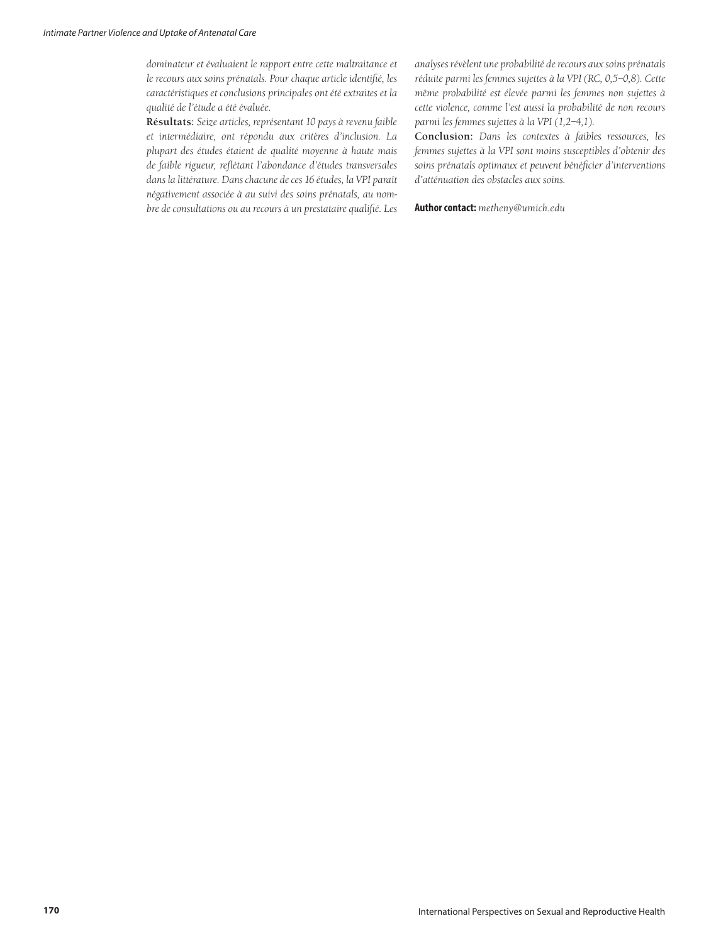*dominateur et évaluaient le rapport entre cette maltraitance et le recours aux soins prénatals. Pour chaque article identifié, les caractéristiques et conclusions principales ont été extraites et la qualité de l'étude a été évaluée.*

**Résultats:** *Seize articles, représentant 10 pays à revenu faible et intermédiaire, ont répondu aux critères d'inclusion. La plupart des études étaient de qualité moyenne à haute mais de faible rigueur, reflétant l'abondance d'études transversales dans la littérature. Dans chacune de ces 16 études, la VPI paraît négativement associée à au suivi des soins prénatals, au nombre de consultations ou au recours à un prestataire qualifié. Les*  *analyses révèlent une probabilité de recours aux soins prénatals réduite parmi les femmes sujettes à la VPI (RC, 0,5–0,8). Cette même probabilité est élevée parmi les femmes non sujettes à cette violence, comme l'est aussi la probabilité de non recours parmi les femmes sujettes à la VPI (1,2–4,1).*

**Conclusion:** *Dans les contextes à faibles ressources, les femmes sujettes à la VPI sont moins susceptibles d'obtenir des soins prénatals optimaux et peuvent bénéficier d'interventions d'atténuation des obstacles aux soins.*

**Author contact:** *metheny@umich.edu*